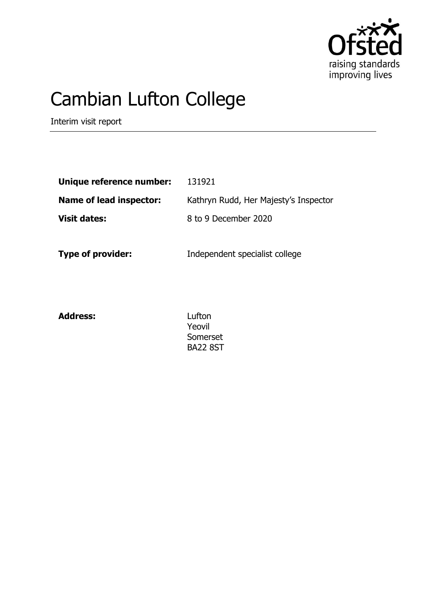

# Cambian Lufton College

Interim visit report

| Unique reference number: | 131921                                |
|--------------------------|---------------------------------------|
| Name of lead inspector:  | Kathryn Rudd, Her Majesty's Inspector |
| <b>Visit dates:</b>      | 8 to 9 December 2020                  |
|                          |                                       |

**Type of provider:** Independent specialist college

**Address:** Lufton

Yeovil Somerset BA22 8ST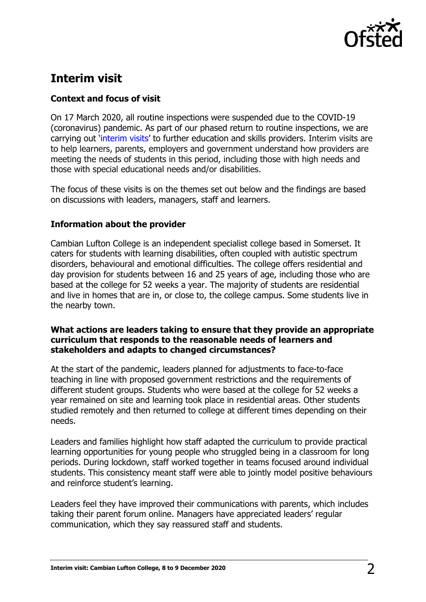

# **Interim visit**

# **Context and focus of visit**

On 17 March 2020, all routine inspections were suspended due to the COVID-19 (coronavirus) pandemic. As part of our phased return to routine inspections, we are carrying out '[interim visits](https://www.gov.uk/guidance/interim-phase-further-education-and-skills-providers#interim-visits)' to further education and skills providers. Interim visits are to help learners, parents, employers and government understand how providers are meeting the needs of students in this period, including those with high needs and those with special educational needs and/or disabilities.

The focus of these visits is on the themes set out below and the findings are based on discussions with leaders, managers, staff and learners.

## **Information about the provider**

Cambian Lufton College is an independent specialist college based in Somerset. It caters for students with learning disabilities, often coupled with autistic spectrum disorders, behavioural and emotional difficulties. The college offers residential and day provision for students between 16 and 25 years of age, including those who are based at the college for 52 weeks a year. The majority of students are residential and live in homes that are in, or close to, the college campus. Some students live in the nearby town.

### **What actions are leaders taking to ensure that they provide an appropriate curriculum that responds to the reasonable needs of learners and stakeholders and adapts to changed circumstances?**

At the start of the pandemic, leaders planned for adjustments to face-to-face teaching in line with proposed government restrictions and the requirements of different student groups. Students who were based at the college for 52 weeks a year remained on site and learning took place in residential areas. Other students studied remotely and then returned to college at different times depending on their needs.

Leaders and families highlight how staff adapted the curriculum to provide practical learning opportunities for young people who struggled being in a classroom for long periods. During lockdown, staff worked together in teams focused around individual students. This consistency meant staff were able to jointly model positive behaviours and reinforce student's learning.

Leaders feel they have improved their communications with parents, which includes taking their parent forum online. Managers have appreciated leaders' regular communication, which they say reassured staff and students.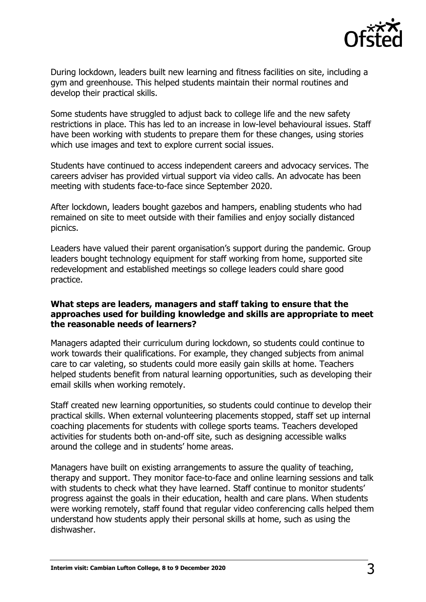

During lockdown, leaders built new learning and fitness facilities on site, including a gym and greenhouse. This helped students maintain their normal routines and develop their practical skills.

Some students have struggled to adjust back to college life and the new safety restrictions in place. This has led to an increase in low-level behavioural issues. Staff have been working with students to prepare them for these changes, using stories which use images and text to explore current social issues.

Students have continued to access independent careers and advocacy services. The careers adviser has provided virtual support via video calls. An advocate has been meeting with students face-to-face since September 2020.

After lockdown, leaders bought gazebos and hampers, enabling students who had remained on site to meet outside with their families and enjoy socially distanced picnics.

Leaders have valued their parent organisation's support during the pandemic. Group leaders bought technology equipment for staff working from home, supported site redevelopment and established meetings so college leaders could share good practice.

#### **What steps are leaders, managers and staff taking to ensure that the approaches used for building knowledge and skills are appropriate to meet the reasonable needs of learners?**

Managers adapted their curriculum during lockdown, so students could continue to work towards their qualifications. For example, they changed subjects from animal care to car valeting, so students could more easily gain skills at home. Teachers helped students benefit from natural learning opportunities, such as developing their email skills when working remotely.

Staff created new learning opportunities, so students could continue to develop their practical skills. When external volunteering placements stopped, staff set up internal coaching placements for students with college sports teams. Teachers developed activities for students both on-and-off site, such as designing accessible walks around the college and in students' home areas.

Managers have built on existing arrangements to assure the quality of teaching, therapy and support. They monitor face-to-face and online learning sessions and talk with students to check what they have learned. Staff continue to monitor students' progress against the goals in their education, health and care plans. When students were working remotely, staff found that regular video conferencing calls helped them understand how students apply their personal skills at home, such as using the dishwasher.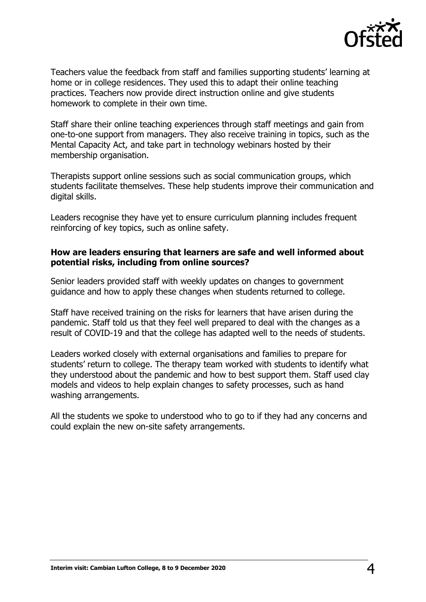

Teachers value the feedback from staff and families supporting students' learning at home or in college residences. They used this to adapt their online teaching practices. Teachers now provide direct instruction online and give students homework to complete in their own time.

Staff share their online teaching experiences through staff meetings and gain from one-to-one support from managers. They also receive training in topics, such as the Mental Capacity Act, and take part in technology webinars hosted by their membership organisation.

Therapists support online sessions such as social communication groups, which students facilitate themselves. These help students improve their communication and digital skills.

Leaders recognise they have yet to ensure curriculum planning includes frequent reinforcing of key topics, such as online safety.

### **How are leaders ensuring that learners are safe and well informed about potential risks, including from online sources?**

Senior leaders provided staff with weekly updates on changes to government guidance and how to apply these changes when students returned to college.

Staff have received training on the risks for learners that have arisen during the pandemic. Staff told us that they feel well prepared to deal with the changes as a result of COVID-19 and that the college has adapted well to the needs of students.

Leaders worked closely with external organisations and families to prepare for students' return to college. The therapy team worked with students to identify what they understood about the pandemic and how to best support them. Staff used clay models and videos to help explain changes to safety processes, such as hand washing arrangements.

All the students we spoke to understood who to go to if they had any concerns and could explain the new on-site safety arrangements.